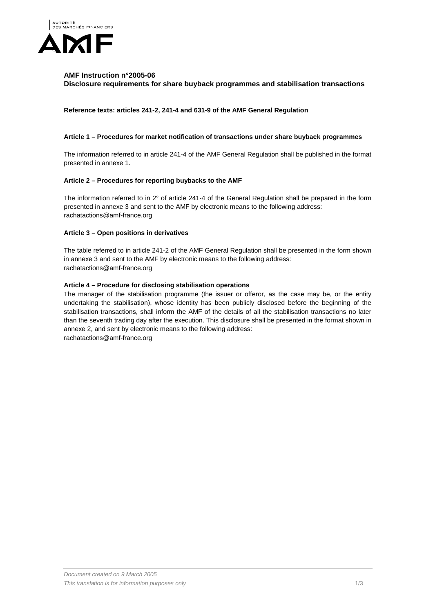

# **AMF Instruction n°2005-06**

**Disclosure requirements for share buyback programmes and stabilisation transactions** 

**Reference texts: articles 241-2, 241-4 and 631-9 of the AMF General Regulation** 

# **Article 1 – Procedures for market notification of transactions under share buyback programmes**

The information referred to in article 241-4 of the AMF General Regulation shall be published in the format presented in annexe 1.

#### **Article 2 – Procedures for reporting buybacks to the AMF**

The information referred to in 2° of article 241-4 of the General Regulation shall be prepared in the form presented in annexe 3 and sent to the AMF by electronic means to the following address: rachatactions@amf-france.org

# **Article 3 – Open positions in derivatives**

The table referred to in article 241-2 of the AMF General Regulation shall be presented in the form shown in annexe 3 and sent to the AMF by electronic means to the following address: rachatactions@amf-france.org

# **Article 4 – Procedure for disclosing stabilisation operations**

The manager of the stabilisation programme (the issuer or offeror, as the case may be, or the entity undertaking the stabilisation), whose identity has been publicly disclosed before the beginning of the stabilisation transactions, shall inform the AMF of the details of all the stabilisation transactions no later than the seventh trading day after the execution. This disclosure shall be presented in the format shown in annexe 2, and sent by electronic means to the following address:

rachatactions@amf-france.org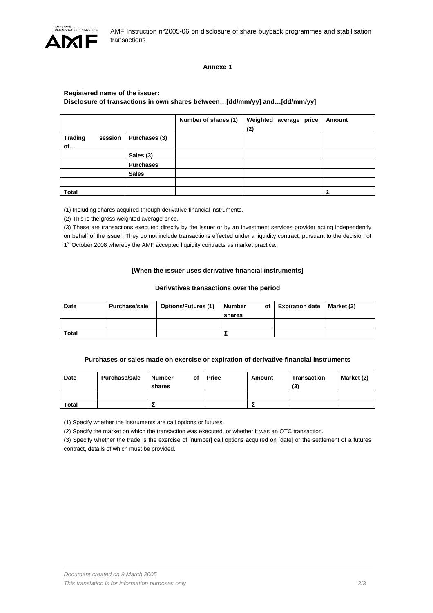

# **Annexe 1**

### **Registered name of the issuer: Disclosure of transactions in own shares between…[dd/mm/yy] and…[dd/mm/yy]**

|                                 |                  | Number of shares (1) | Weighted average price<br>(2) | Amount |
|---------------------------------|------------------|----------------------|-------------------------------|--------|
| <b>Trading</b><br>session<br>of | Purchases (3)    |                      |                               |        |
|                                 | Sales (3)        |                      |                               |        |
|                                 | <b>Purchases</b> |                      |                               |        |
|                                 | <b>Sales</b>     |                      |                               |        |
|                                 |                  |                      |                               |        |
| <b>Total</b>                    |                  |                      |                               | Σ      |

(1) Including shares acquired through derivative financial instruments.

(2) This is the gross weighted average price.

(3) These are transactions executed directly by the issuer or by an investment services provider acting independently on behalf of the issuer. They do not include transactions effected under a liquidity contract, pursuant to the decision of 1<sup>st</sup> October 2008 whereby the AMF accepted liquidity contracts as market practice.

#### **[When the issuer uses derivative financial instruments]**

#### **Derivatives transactions over the period**

| <b>Date</b> | <b>Purchase/sale</b> | <b>Options/Futures (1)</b> | Number | of Expiration date | Market (2) |
|-------------|----------------------|----------------------------|--------|--------------------|------------|
|             |                      |                            | shares |                    |            |
|             |                      |                            |        |                    |            |
| Total       |                      |                            |        |                    |            |

# **Purchases or sales made on exercise or expiration of derivative financial instruments**

| Date  | Purchase/sale | <b>Number</b><br>Οf<br>shares | <b>Price</b> | Amount | Transaction<br>13 | Market (2) |
|-------|---------------|-------------------------------|--------------|--------|-------------------|------------|
|       |               |                               |              |        |                   |            |
| Total |               |                               |              |        |                   |            |

(1) Specify whether the instruments are call options or futures.

(2) Specify the market on which the transaction was executed, or whether it was an OTC transaction.

(3) Specify whether the trade is the exercise of [number] call options acquired on [date] or the settlement of a futures contract, details of which must be provided.